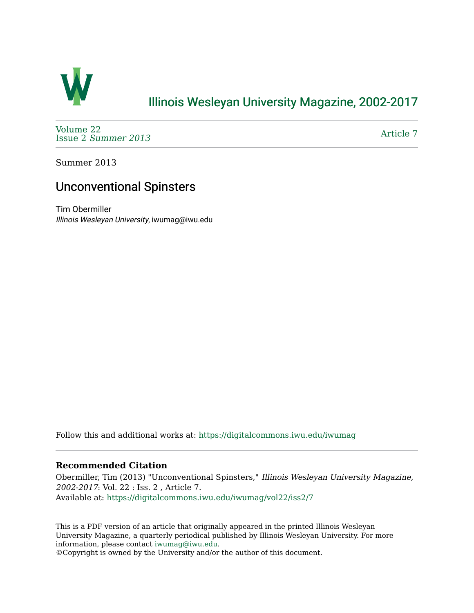

## [Illinois Wesleyan University Magazine, 2002-2017](https://digitalcommons.iwu.edu/iwumag)

[Volume 22](https://digitalcommons.iwu.edu/iwumag/vol22)  Issue 2 [Summer 2013](https://digitalcommons.iwu.edu/iwumag/vol22/iss2) 

[Article 7](https://digitalcommons.iwu.edu/iwumag/vol22/iss2/7) 

Summer 2013

# Unconventional Spinsters

Tim Obermiller Illinois Wesleyan University, iwumag@iwu.edu

Follow this and additional works at: [https://digitalcommons.iwu.edu/iwumag](https://digitalcommons.iwu.edu/iwumag?utm_source=digitalcommons.iwu.edu%2Fiwumag%2Fvol22%2Fiss2%2F7&utm_medium=PDF&utm_campaign=PDFCoverPages) 

### **Recommended Citation**

Obermiller, Tim (2013) "Unconventional Spinsters," Illinois Wesleyan University Magazine, 2002-2017: Vol. 22 : Iss. 2 , Article 7. Available at: [https://digitalcommons.iwu.edu/iwumag/vol22/iss2/7](https://digitalcommons.iwu.edu/iwumag/vol22/iss2/7?utm_source=digitalcommons.iwu.edu%2Fiwumag%2Fvol22%2Fiss2%2F7&utm_medium=PDF&utm_campaign=PDFCoverPages)

This is a PDF version of an article that originally appeared in the printed Illinois Wesleyan University Magazine, a quarterly periodical published by Illinois Wesleyan University. For more information, please contact [iwumag@iwu.edu](mailto:iwumag@iwu.edu).

©Copyright is owned by the University and/or the author of this document.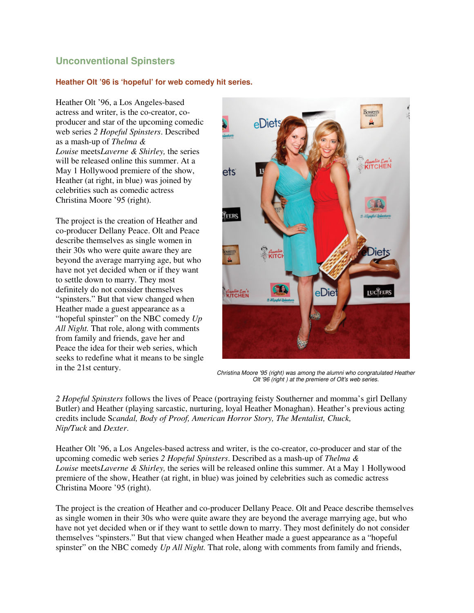### **Unconventional Spinsters**

#### **Heather Olt '96 is 'hopeful' for web comedy hit series.**

Heather Olt '96, a Los Angeles-based actress and writer, is the co-creator, coproducer and star of the upcoming comedic web series *2 Hopeful Spinsters*. Described as a mash-up of *Thelma & Louise* meets*Laverne & Shirley,* the series will be released online this summer. At a May 1 Hollywood premiere of the show, Heather (at right, in blue) was joined by celebrities such as comedic actress Christina Moore '95 (right).

The project is the creation of Heather and co-producer Dellany Peace. Olt and Peace describe themselves as single women in their 30s who were quite aware they are beyond the average marrying age, but who have not yet decided when or if they want to settle down to marry. They most definitely do not consider themselves "spinsters." But that view changed when Heather made a guest appearance as a "hopeful spinster" on the NBC comedy *Up All Night.* That role, along with comments from family and friends, gave her and Peace the idea for their web series, which seeks to redefine what it means to be single in the 21st century.



Christina Moore '95 (right) was among the alumni who congratulated Heather Olt '96 (right ) at the premiere of Olt's web series.

*2 Hopeful Spinsters* follows the lives of Peace (portraying feisty Southerner and momma's girl Dellany Butler) and Heather (playing sarcastic, nurturing, loyal Heather Monaghan). Heather's previous acting credits include S*candal, Body of Proof, American Horror Story, The Mentalist, Chuck, Nip/Tuck* and *Dexter*.

Heather Olt '96, a Los Angeles-based actress and writer, is the co-creator, co-producer and star of the upcoming comedic web series *2 Hopeful Spinsters*. Described as a mash-up of *Thelma & Louise* meets*Laverne & Shirley,* the series will be released online this summer. At a May 1 Hollywood premiere of the show, Heather (at right, in blue) was joined by celebrities such as comedic actress Christina Moore '95 (right).

The project is the creation of Heather and co-producer Dellany Peace. Olt and Peace describe themselves as single women in their 30s who were quite aware they are beyond the average marrying age, but who have not yet decided when or if they want to settle down to marry. They most definitely do not consider themselves "spinsters." But that view changed when Heather made a guest appearance as a "hopeful spinster" on the NBC comedy *Up All Night.* That role, along with comments from family and friends,